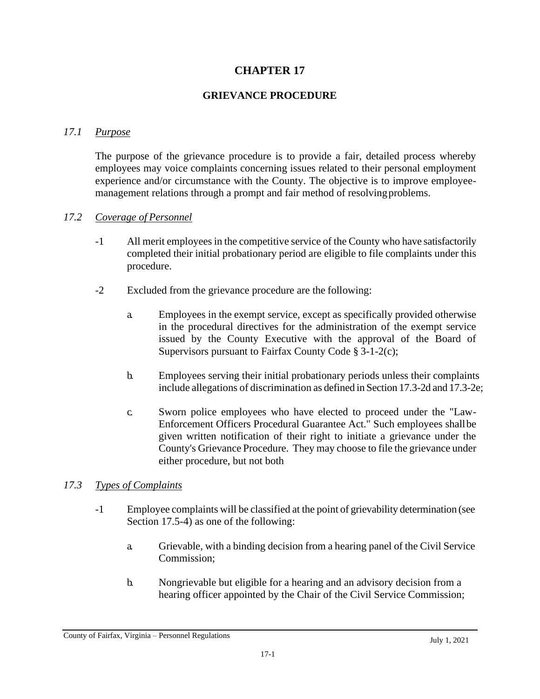# **CHAPTER 17**

## **GRIEVANCE PROCEDURE**

### *17.1 Purpose*

The purpose of the grievance procedure is to provide a fair, detailed process whereby employees may voice complaints concerning issues related to their personal employment experience and/or circumstance with the County. The objective is to improve employeemanagement relations through a prompt and fair method of resolving problems.

#### *17.2 Coverage of Personnel*

- -1 All merit employees in the competitive service of the County who have satisfactorily completed their initial probationary period are eligible to file complaints under this procedure.
- -2 Excluded from the grievance procedure are the following:
	- a. Employees in the exempt service, except as specifically provided otherwise in the procedural directives for the administration of the exempt service issued by the County Executive with the approval of the Board of Supervisors pursuant to Fairfax County Code § 3-1-2(c);
	- b. Employees serving their initial probationary periods unless their complaints include allegations of discrimination as defined in Section 17.3-2d and 17.3-2e;
	- c. Sworn police employees who have elected to proceed under the "Law-Enforcement Officers Procedural Guarantee Act." Such employees shallbe given written notification of their right to initiate a grievance under the County's Grievance Procedure. They may choose to file the grievance under either procedure, but not both

#### *17.3 Types of Complaints*

- -1 Employee complaints will be classified at the point of grievability determination (see Section 17.5-4) as one of the following:
	- a. Grievable, with a binding decision from a hearing panel of the Civil Service Commission;
	- b. Nongrievable but eligible for a hearing and an advisory decision from a hearing officer appointed by the Chair of the Civil Service Commission;

County of Fairfax, Virginia – Personnel Regulations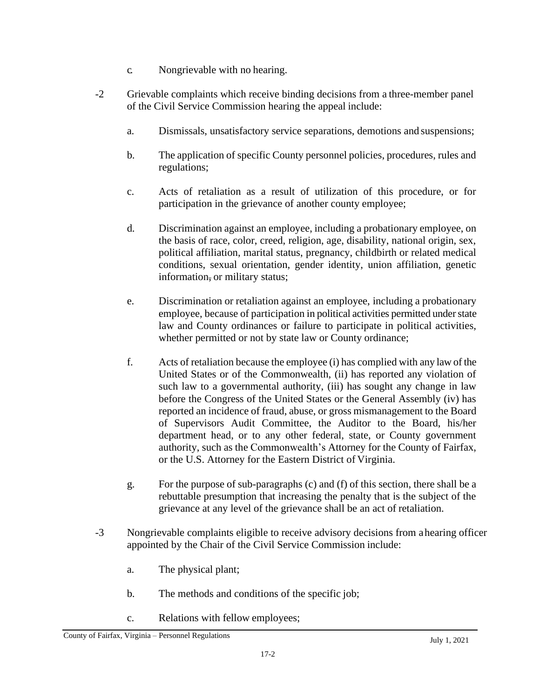- c. Nongrievable with no hearing.
- -2 Grievable complaints which receive binding decisions from a three-member panel of the Civil Service Commission hearing the appeal include:
	- a. Dismissals, unsatisfactory service separations, demotions and suspensions;
	- b. The application of specific County personnel policies, procedures, rules and regulations;
	- c. Acts of retaliation as a result of utilization of this procedure, or for participation in the grievance of another county employee;
	- d. Discrimination against an employee, including a probationary employee, on the basis of race, color, creed, religion, age, disability, national origin, sex, political affiliation, marital status, pregnancy, childbirth or related medical conditions, sexual orientation, gender identity, union affiliation, genetic information, or military status;
	- e. Discrimination or retaliation against an employee, including a probationary employee, because of participation in political activities permitted under state law and County ordinances or failure to participate in political activities, whether permitted or not by state law or County ordinance;
	- f. Acts of retaliation because the employee (i) has complied with any law of the United States or of the Commonwealth, (ii) has reported any violation of such law to a governmental authority, (iii) has sought any change in law before the Congress of the United States or the General Assembly (iv) has reported an incidence of fraud, abuse, or gross mismanagement to the Board of Supervisors Audit Committee, the Auditor to the Board, his/her department head, or to any other federal, state, or County government authority, such as the Commonwealth's Attorney for the County of Fairfax, or the U.S. Attorney for the Eastern District of Virginia.
	- g. For the purpose of sub-paragraphs (c) and (f) of this section, there shall be a rebuttable presumption that increasing the penalty that is the subject of the grievance at any level of the grievance shall be an act of retaliation.
- -3 Nongrievable complaints eligible to receive advisory decisions from ahearing officer appointed by the Chair of the Civil Service Commission include:
	- a. The physical plant;
	- b. The methods and conditions of the specific job;
	- c. Relations with fellow employees;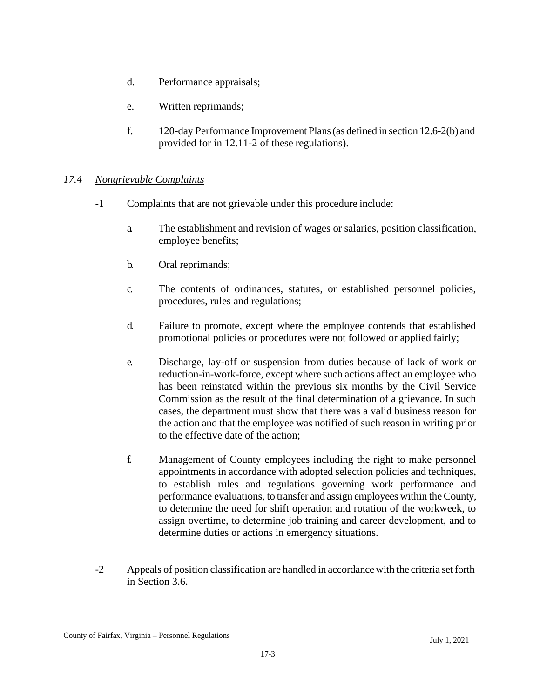- d. Performance appraisals;
- e. Written reprimands;
- f. 120-day Performance Improvement Plans(as defined in section 12.6-2(b) and provided for in 12.11-2 of these regulations).

## *17.4 Nongrievable Complaints*

- -1 Complaints that are not grievable under this procedure include:
	- a. The establishment and revision of wages or salaries, position classification, employee benefits;
	- b. Oral reprimands;
	- c. The contents of ordinances, statutes, or established personnel policies, procedures, rules and regulations;
	- d. Failure to promote, except where the employee contends that established promotional policies or procedures were not followed or applied fairly;
	- e. Discharge, lay-off or suspension from duties because of lack of work or reduction-in-work-force, except where such actions affect an employee who has been reinstated within the previous six months by the Civil Service Commission as the result of the final determination of a grievance. In such cases, the department must show that there was a valid business reason for the action and that the employee was notified of such reason in writing prior to the effective date of the action;
	- f. Management of County employees including the right to make personnel appointments in accordance with adopted selection policies and techniques, to establish rules and regulations governing work performance and performance evaluations, to transfer and assign employees within theCounty, to determine the need for shift operation and rotation of the workweek, to assign overtime, to determine job training and career development, and to determine duties or actions in emergency situations.
- -2 Appeals of position classification are handled in accordance with the criteria set forth in Section 3.6.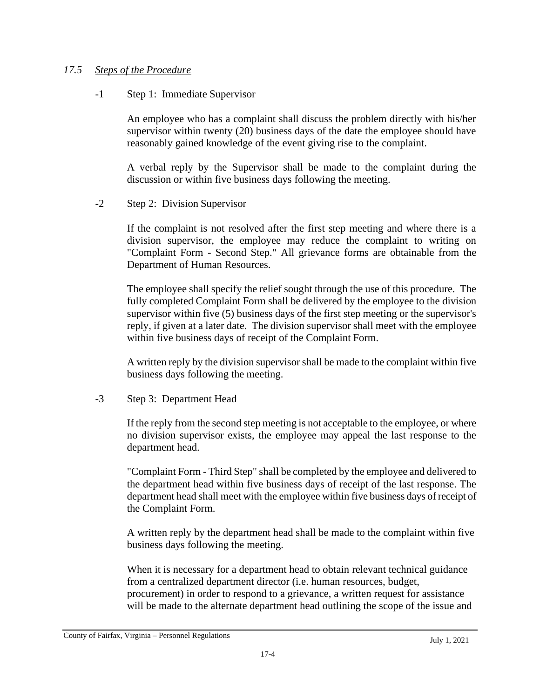### *17.5 Steps of the Procedure*

#### -1 Step 1: Immediate Supervisor

An employee who has a complaint shall discuss the problem directly with his/her supervisor within twenty (20) business days of the date the employee should have reasonably gained knowledge of the event giving rise to the complaint.

A verbal reply by the Supervisor shall be made to the complaint during the discussion or within five business days following the meeting.

-2 Step 2: Division Supervisor

If the complaint is not resolved after the first step meeting and where there is a division supervisor, the employee may reduce the complaint to writing on "Complaint Form - Second Step." All grievance forms are obtainable from the Department of Human Resources.

The employee shall specify the relief sought through the use of this procedure. The fully completed Complaint Form shall be delivered by the employee to the division supervisor within five (5) business days of the first step meeting or the supervisor's reply, if given at a later date. The division supervisor shall meet with the employee within five business days of receipt of the Complaint Form.

A written reply by the division supervisorshall be made to the complaint within five business days following the meeting.

-3 Step 3: Department Head

If the reply from the second step meeting is not acceptable to the employee, or where no division supervisor exists, the employee may appeal the last response to the department head.

"Complaint Form - Third Step" shall be completed by the employee and delivered to the department head within five business days of receipt of the last response. The department head shall meet with the employee within five business days of receipt of the Complaint Form.

A written reply by the department head shall be made to the complaint within five business days following the meeting.

When it is necessary for a department head to obtain relevant technical guidance from a centralized department director (i.e. human resources, budget, procurement) in order to respond to a grievance, a written request for assistance will be made to the alternate department head outlining the scope of the issue and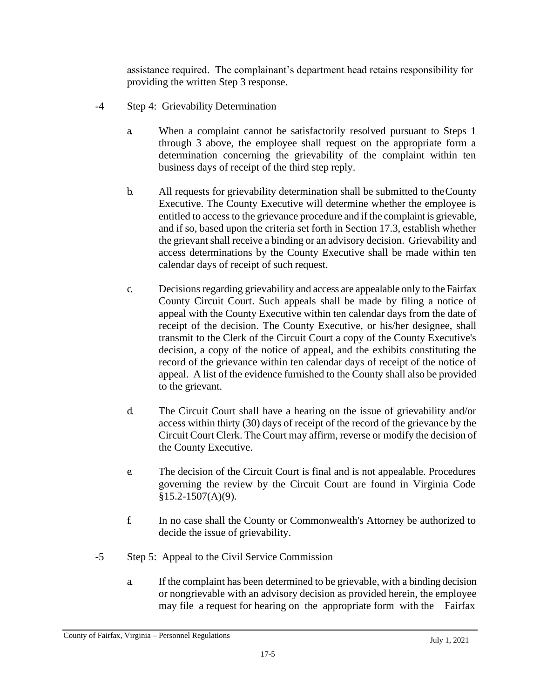assistance required. The complainant's department head retains responsibility for providing the written Step 3 response.

- -4 Step 4: Grievability Determination
	- a. When a complaint cannot be satisfactorily resolved pursuant to Steps 1 through 3 above, the employee shall request on the appropriate form a determination concerning the grievability of the complaint within ten business days of receipt of the third step reply.
	- b. All requests for grievability determination shall be submitted to theCounty Executive. The County Executive will determine whether the employee is entitled to access to the grievance procedure and if the complaint is grievable, and if so, based upon the criteria set forth in Section 17.3, establish whether the grievant shall receive a binding or an advisory decision. Grievability and access determinations by the County Executive shall be made within ten calendar days of receipt of such request.
	- c. Decisionsregarding grievability and access are appealable only to the Fairfax County Circuit Court. Such appeals shall be made by filing a notice of appeal with the County Executive within ten calendar days from the date of receipt of the decision. The County Executive, or his/her designee, shall transmit to the Clerk of the Circuit Court a copy of the County Executive's decision, a copy of the notice of appeal, and the exhibits constituting the record of the grievance within ten calendar days of receipt of the notice of appeal. A list of the evidence furnished to the County shall also be provided to the grievant.
	- d. The Circuit Court shall have a hearing on the issue of grievability and/or access within thirty (30) days of receipt of the record of the grievance by the Circuit Court Clerk. The Court may affirm, reverse or modify the decision of the County Executive.
	- e. The decision of the Circuit Court is final and is not appealable. Procedures governing the review by the Circuit Court are found in Virginia Code  $§15.2-1507(A)(9).$
	- f. In no case shall the County or Commonwealth's Attorney be authorized to decide the issue of grievability.
- -5 Step 5: Appeal to the Civil Service Commission
	- a. If the complaint has been determined to be grievable, with a binding decision or nongrievable with an advisory decision as provided herein, the employee may file a request for hearing on the appropriate form with the Fairfax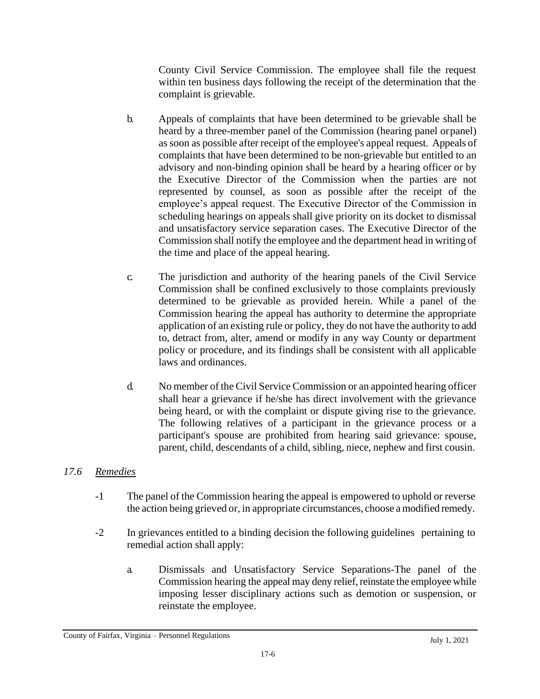County Civil Service Commission. The employee shall file the request within ten business days following the receipt of the determination that the complaint is grievable.

- b. Appeals of complaints that have been determined to be grievable shall be heard by a three-member panel of the Commission (hearing panel orpanel) assoon as possible after receipt of the employee's appeal request. Appeals of complaints that have been determined to be non-grievable but entitled to an advisory and non-binding opinion shall be heard by a hearing officer or by the Executive Director of the Commission when the parties are not represented by counsel, as soon as possible after the receipt of the employee's appeal request. The Executive Director of the Commission in scheduling hearings on appeals shall give priority on its docket to dismissal and unsatisfactory service separation cases. The Executive Director of the Commission shall notify the employee and the department head in writing of the time and place of the appeal hearing.
- c. The jurisdiction and authority of the hearing panels of the Civil Service Commission shall be confined exclusively to those complaints previously determined to be grievable as provided herein. While a panel of the Commission hearing the appeal has authority to determine the appropriate application of an existing rule or policy, they do not have the authority to add to, detract from, alter, amend or modify in any way County or department policy or procedure, and its findings shall be consistent with all applicable laws and ordinances.
- d. No member of the Civil Service Commission or an appointed hearing officer shall hear a grievance if he/she has direct involvement with the grievance being heard, or with the complaint or dispute giving rise to the grievance. The following relatives of a participant in the grievance process or a participant's spouse are prohibited from hearing said grievance: spouse, parent, child, descendants of a child, sibling, niece, nephew and first cousin.

# *17.6 Remedies*

- -1 The panel of the Commission hearing the appeal is empowered to uphold or reverse the action being grieved or, in appropriate circumstances, choose a modified remedy.
- -2 In grievances entitled to a binding decision the following guidelines pertaining to remedial action shall apply:
	- a. Dismissals and Unsatisfactory Service Separations-The panel of the Commission hearing the appeal may deny relief, reinstate the employee while imposing lesser disciplinary actions such as demotion or suspension, or reinstate the employee.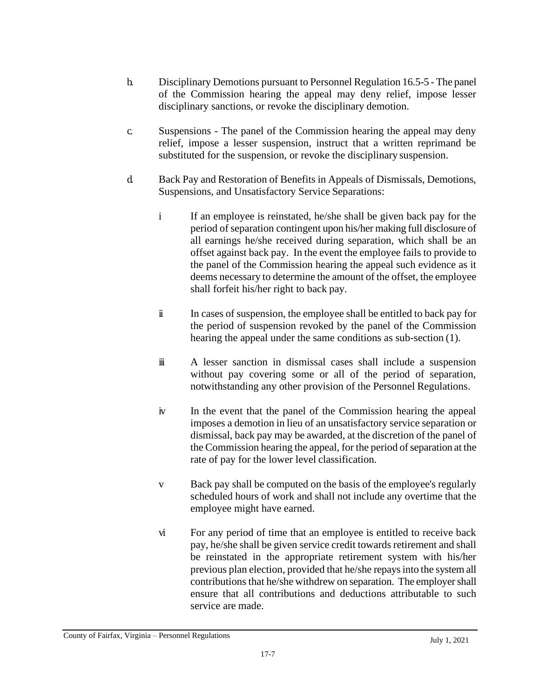- b. Disciplinary Demotions pursuant to Personnel Regulation 16.5-5 The panel of the Commission hearing the appeal may deny relief, impose lesser disciplinary sanctions, or revoke the disciplinary demotion.
- c. Suspensions The panel of the Commission hearing the appeal may deny relief, impose a lesser suspension, instruct that a written reprimand be substituted for the suspension, or revoke the disciplinary suspension.
- d. Back Pay and Restoration of Benefits in Appeals of Dismissals, Demotions, Suspensions, and Unsatisfactory Service Separations:
	- i If an employee is reinstated, he/she shall be given back pay for the period of separation contingent upon his/her making full disclosure of all earnings he/she received during separation, which shall be an offset against back pay. In the event the employee fails to provide to the panel of the Commission hearing the appeal such evidence as it deems necessary to determine the amount of the offset, the employee shall forfeit his/her right to back pay.
	- ii In cases of suspension, the employee shall be entitled to back pay for the period of suspension revoked by the panel of the Commission hearing the appeal under the same conditions as sub-section (1).
	- iii A lesser sanction in dismissal cases shall include a suspension without pay covering some or all of the period of separation, notwithstanding any other provision of the Personnel Regulations.
	- iv In the event that the panel of the Commission hearing the appeal imposes a demotion in lieu of an unsatisfactory service separation or dismissal, back pay may be awarded, at the discretion of the panel of the Commission hearing the appeal, for the period of separation at the rate of pay for the lower level classification.
	- v Back pay shall be computed on the basis of the employee's regularly scheduled hours of work and shall not include any overtime that the employee might have earned.
	- vi For any period of time that an employee is entitled to receive back pay, he/she shall be given service credit towards retirement and shall be reinstated in the appropriate retirement system with his/her previous plan election, provided that he/she repaysinto the system all contributions that he/she withdrew on separation. The employer shall ensure that all contributions and deductions attributable to such service are made.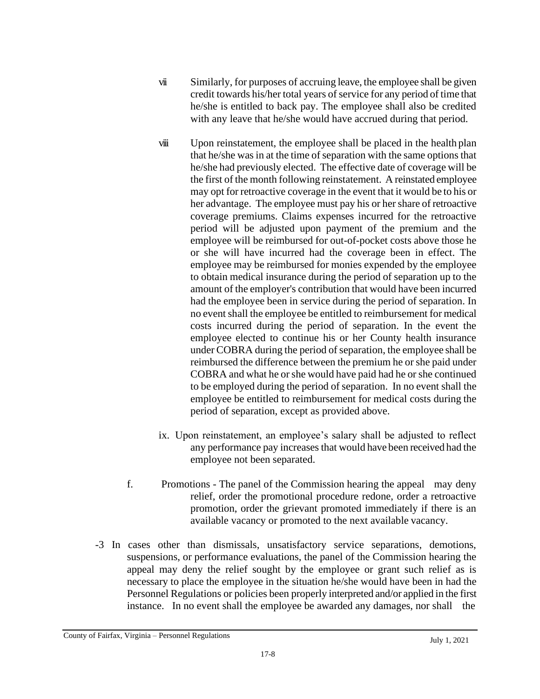- vii Similarly, for purposes of accruing leave, the employee shall be given credit towards his/her total years of service for any period of time that he/she is entitled to back pay. The employee shall also be credited with any leave that he/she would have accrued during that period.
- viii Upon reinstatement, the employee shall be placed in the health plan that he/she was in at the time of separation with the same options that he/she had previously elected. The effective date of coverage will be the first of the month following reinstatement. A reinstated employee may opt for retroactive coverage in the event that it would be to his or her advantage. The employee must pay his or her share of retroactive coverage premiums. Claims expenses incurred for the retroactive period will be adjusted upon payment of the premium and the employee will be reimbursed for out-of-pocket costs above those he or she will have incurred had the coverage been in effect. The employee may be reimbursed for monies expended by the employee to obtain medical insurance during the period of separation up to the amount of the employer's contribution that would have been incurred had the employee been in service during the period of separation. In no event shall the employee be entitled to reimbursement for medical costs incurred during the period of separation. In the event the employee elected to continue his or her County health insurance under COBRA during the period of separation, the employee shall be reimbursed the difference between the premium he or she paid under COBRA and what he orshe would have paid had he or she continued to be employed during the period of separation. In no event shall the employee be entitled to reimbursement for medical costs during the period of separation, except as provided above.
- ix. Upon reinstatement, an employee's salary shall be adjusted to reflect any performance pay increases that would have been received had the employee not been separated.
- f. Promotions The panel of the Commission hearing the appeal may deny relief, order the promotional procedure redone, order a retroactive promotion, order the grievant promoted immediately if there is an available vacancy or promoted to the next available vacancy.
- -3 In cases other than dismissals, unsatisfactory service separations, demotions, suspensions, or performance evaluations, the panel of the Commission hearing the appeal may deny the relief sought by the employee or grant such relief as is necessary to place the employee in the situation he/she would have been in had the Personnel Regulations or policies been properly interpreted and/or applied in the first instance. In no event shall the employee be awarded any damages, nor shall the

County of Fairfax, Virginia – Personnel Regulations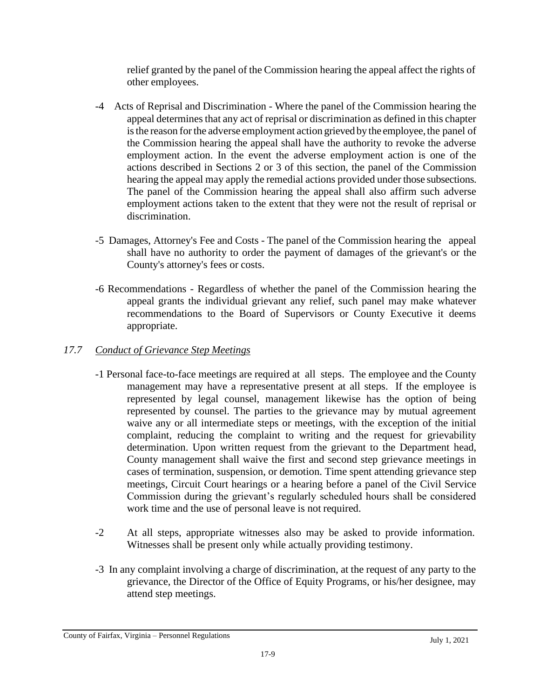relief granted by the panel of the Commission hearing the appeal affect the rights of other employees.

- -4 Acts of Reprisal and Discrimination Where the panel of the Commission hearing the appeal determines that any act of reprisal or discrimination as defined in this chapter is the reason for the adverse employment action grieved by the employee, the panel of the Commission hearing the appeal shall have the authority to revoke the adverse employment action. In the event the adverse employment action is one of the actions described in Sections 2 or 3 of this section, the panel of the Commission hearing the appeal may apply the remedial actions provided under those subsections. The panel of the Commission hearing the appeal shall also affirm such adverse employment actions taken to the extent that they were not the result of reprisal or discrimination.
- -5 Damages, Attorney's Fee and Costs The panel of the Commission hearing the appeal shall have no authority to order the payment of damages of the grievant's or the County's attorney's fees or costs.
- -6 Recommendations Regardless of whether the panel of the Commission hearing the appeal grants the individual grievant any relief, such panel may make whatever recommendations to the Board of Supervisors or County Executive it deems appropriate.

# *17.7 Conduct of Grievance Step Meetings*

- -1 Personal face-to-face meetings are required at all steps. The employee and the County management may have a representative present at all steps. If the employee is represented by legal counsel, management likewise has the option of being represented by counsel. The parties to the grievance may by mutual agreement waive any or all intermediate steps or meetings, with the exception of the initial complaint, reducing the complaint to writing and the request for grievability determination. Upon written request from the grievant to the Department head, County management shall waive the first and second step grievance meetings in cases of termination, suspension, or demotion. Time spent attending grievance step meetings, Circuit Court hearings or a hearing before a panel of the Civil Service Commission during the grievant's regularly scheduled hours shall be considered work time and the use of personal leave is not required.
- -2 At all steps, appropriate witnesses also may be asked to provide information. Witnesses shall be present only while actually providing testimony.
- -3 In any complaint involving a charge of discrimination, at the request of any party to the grievance, the Director of the Office of Equity Programs, or his/her designee, may attend step meetings.

County of Fairfax, Virginia – Personnel Regulations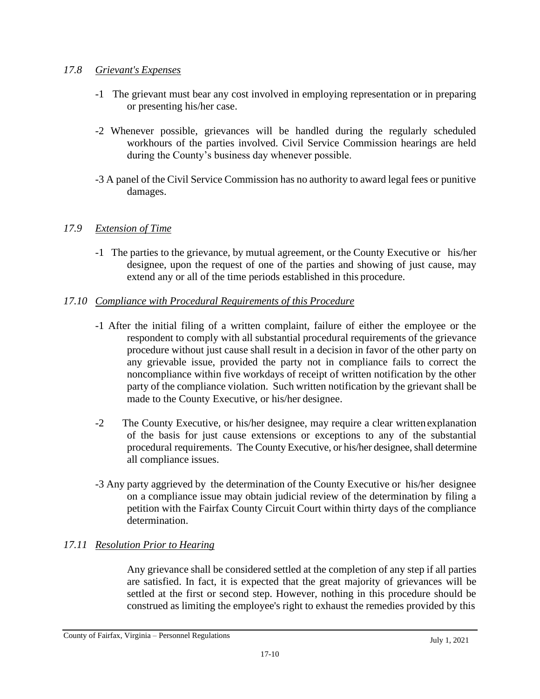## *17.8 Grievant's Expenses*

- -1 The grievant must bear any cost involved in employing representation or in preparing or presenting his/her case.
- -2 Whenever possible, grievances will be handled during the regularly scheduled workhours of the parties involved. Civil Service Commission hearings are held during the County's business day whenever possible.
- -3 A panel of the Civil Service Commission has no authority to award legal fees or punitive damages.

# *17.9 Extension of Time*

-1 The parties to the grievance, by mutual agreement, or the County Executive or his/her designee, upon the request of one of the parties and showing of just cause, may extend any or all of the time periods established in this procedure.

# *17.10 Compliance with Procedural Requirements of this Procedure*

- -1 After the initial filing of a written complaint, failure of either the employee or the respondent to comply with all substantial procedural requirements of the grievance procedure without just cause shall result in a decision in favor of the other party on any grievable issue, provided the party not in compliance fails to correct the noncompliance within five workdays of receipt of written notification by the other party of the compliance violation. Such written notification by the grievant shall be made to the County Executive, or his/her designee.
- -2 The County Executive, or his/her designee, may require a clear written explanation of the basis for just cause extensions or exceptions to any of the substantial procedural requirements. The County Executive, or his/her designee, shall determine all compliance issues.
- -3 Any party aggrieved by the determination of the County Executive or his/her designee on a compliance issue may obtain judicial review of the determination by filing a petition with the Fairfax County Circuit Court within thirty days of the compliance determination.

# *17.11 Resolution Prior to Hearing*

Any grievance shall be considered settled at the completion of any step if all parties are satisfied. In fact, it is expected that the great majority of grievances will be settled at the first or second step. However, nothing in this procedure should be construed as limiting the employee's right to exhaust the remedies provided by this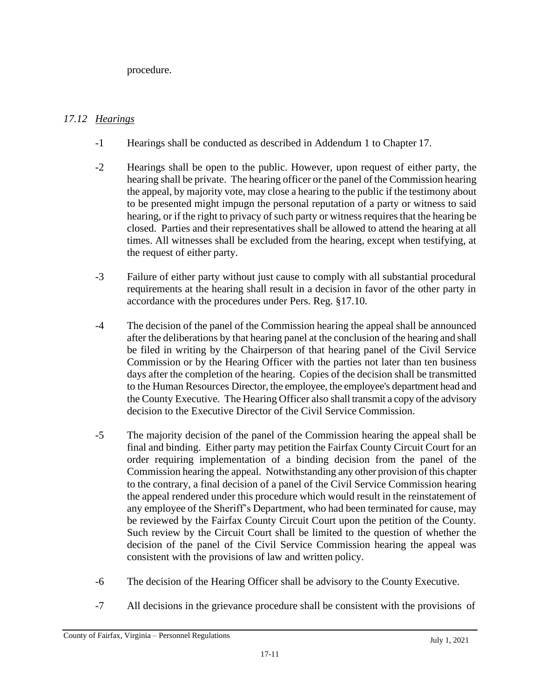procedure.

# *17.12 Hearings*

- -1 Hearings shall be conducted as described in Addendum 1 to Chapter 17.
- -2 Hearings shall be open to the public. However, upon request of either party, the hearing shall be private. The hearing officer or the panel of the Commission hearing the appeal, by majority vote, may close a hearing to the public if the testimony about to be presented might impugn the personal reputation of a party or witness to said hearing, or if the right to privacy of such party or witness requires that the hearing be closed. Parties and their representatives shall be allowed to attend the hearing at all times. All witnesses shall be excluded from the hearing, except when testifying, at the request of either party.
- -3 Failure of either party without just cause to comply with all substantial procedural requirements at the hearing shall result in a decision in favor of the other party in accordance with the procedures under Pers. Reg. §17.10.
- -4 The decision of the panel of the Commission hearing the appeal shall be announced after the deliberations by that hearing panel at the conclusion of the hearing and shall be filed in writing by the Chairperson of that hearing panel of the Civil Service Commission or by the Hearing Officer with the parties not later than ten business days after the completion of the hearing. Copies of the decision shall be transmitted to the Human Resources Director, the employee, the employee's department head and the County Executive. The Hearing Officer also shall transmit a copy of the advisory decision to the Executive Director of the Civil Service Commission.
- -5 The majority decision of the panel of the Commission hearing the appeal shall be final and binding. Either party may petition the Fairfax County Circuit Court for an order requiring implementation of a binding decision from the panel of the Commission hearing the appeal. Notwithstanding any other provision of this chapter to the contrary, a final decision of a panel of the Civil Service Commission hearing the appeal rendered under this procedure which would result in the reinstatement of any employee of the Sheriff's Department, who had been terminated for cause, may be reviewed by the Fairfax County Circuit Court upon the petition of the County. Such review by the Circuit Court shall be limited to the question of whether the decision of the panel of the Civil Service Commission hearing the appeal was consistent with the provisions of law and written policy.
- -6 The decision of the Hearing Officer shall be advisory to the County Executive.
- -7 All decisions in the grievance procedure shall be consistent with the provisions of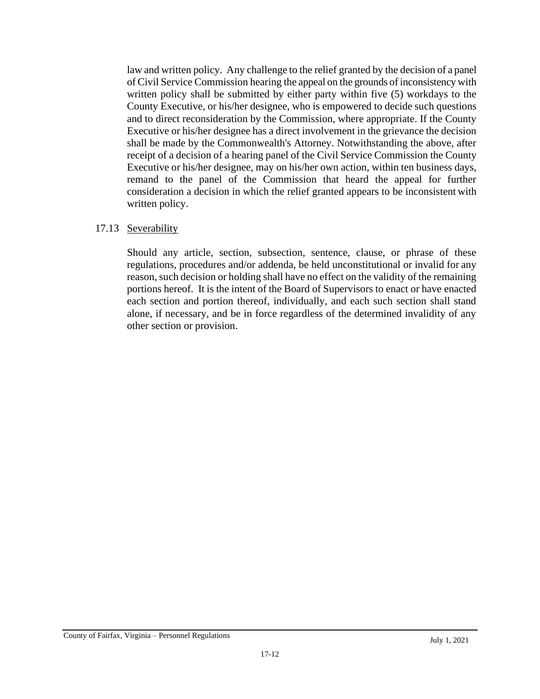law and written policy. Any challenge to the relief granted by the decision of a panel of Civil Service Commission hearing the appeal on the grounds of inconsistency with written policy shall be submitted by either party within five (5) workdays to the County Executive, or his/her designee, who is empowered to decide such questions and to direct reconsideration by the Commission, where appropriate. If the County Executive or his/her designee has a direct involvement in the grievance the decision shall be made by the Commonwealth's Attorney. Notwithstanding the above, after receipt of a decision of a hearing panel of the Civil Service Commission the County Executive or his/her designee, may on his/her own action, within ten business days, remand to the panel of the Commission that heard the appeal for further consideration a decision in which the relief granted appears to be inconsistent with written policy.

#### 17.13 Severability

Should any article, section, subsection, sentence, clause, or phrase of these regulations, procedures and/or addenda, be held unconstitutional or invalid for any reason, such decision or holding shall have no effect on the validity of the remaining portions hereof. It is the intent of the Board of Supervisors to enact or have enacted each section and portion thereof, individually, and each such section shall stand alone, if necessary, and be in force regardless of the determined invalidity of any other section or provision.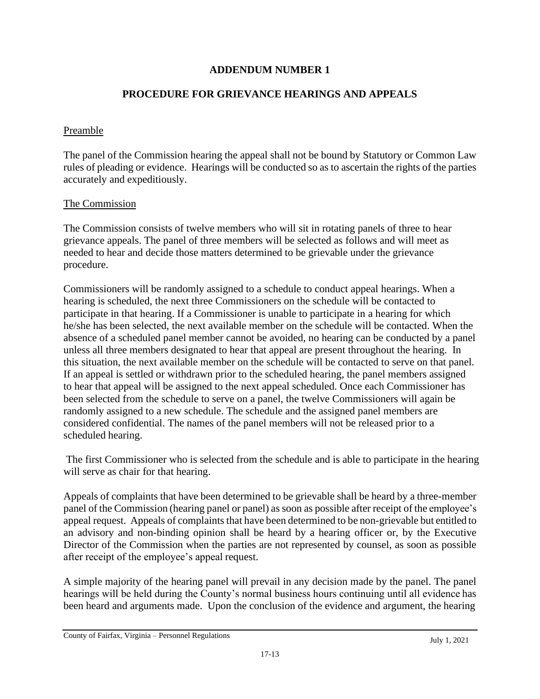## **ADDENDUM NUMBER 1**

## **PROCEDURE FOR GRIEVANCE HEARINGS AND APPEALS**

#### Preamble

The panel of the Commission hearing the appeal shall not be bound by Statutory or Common Law rules of pleading or evidence. Hearings will be conducted so as to ascertain the rights of the parties accurately and expeditiously.

#### The Commission

The Commission consists of twelve members who will sit in rotating panels of three to hear grievance appeals. The panel of three members will be selected as follows and will meet as needed to hear and decide those matters determined to be grievable under the grievance procedure.

Commissioners will be randomly assigned to a schedule to conduct appeal hearings. When a hearing is scheduled, the next three Commissioners on the schedule will be contacted to participate in that hearing. If a Commissioner is unable to participate in a hearing for which he/she has been selected, the next available member on the schedule will be contacted. When the absence of a scheduled panel member cannot be avoided, no hearing can be conducted by a panel unless all three members designated to hear that appeal are present throughout the hearing. In this situation, the next available member on the schedule will be contacted to serve on that panel. If an appeal is settled or withdrawn prior to the scheduled hearing, the panel members assigned to hear that appeal will be assigned to the next appeal scheduled. Once each Commissioner has been selected from the schedule to serve on a panel, the twelve Commissioners will again be randomly assigned to a new schedule. The schedule and the assigned panel members are considered confidential. The names of the panel members will not be released prior to a scheduled hearing.

The first Commissioner who is selected from the schedule and is able to participate in the hearing will serve as chair for that hearing.

Appeals of complaints that have been determined to be grievable shall be heard by a three-member panel of the Commission (hearing panel or panel) assoon as possible after receipt of the employee's appeal request. Appeals of complaints that have been determined to be non-grievable but entitled to an advisory and non-binding opinion shall be heard by a hearing officer or, by the Executive Director of the Commission when the parties are not represented by counsel, as soon as possible after receipt of the employee's appeal request.

A simple majority of the hearing panel will prevail in any decision made by the panel. The panel hearings will be held during the County's normal business hours continuing until all evidence has been heard and arguments made. Upon the conclusion of the evidence and argument, the hearing

County of Fairfax, Virginia – Personnel Regulations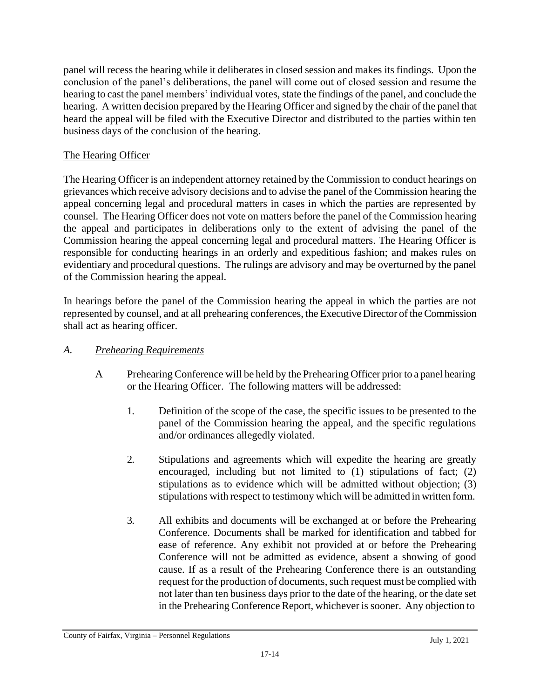panel will recess the hearing while it deliberates in closed session and makes its findings. Upon the conclusion of the panel's deliberations, the panel will come out of closed session and resume the hearing to cast the panel members' individual votes, state the findings of the panel, and conclude the hearing. A written decision prepared by the Hearing Officer and signed by the chair of the panel that heard the appeal will be filed with the Executive Director and distributed to the parties within ten business days of the conclusion of the hearing.

# The Hearing Officer

The Hearing Officer is an independent attorney retained by the Commission to conduct hearings on grievances which receive advisory decisions and to advise the panel of the Commission hearing the appeal concerning legal and procedural matters in cases in which the parties are represented by counsel. The Hearing Officer does not vote on matters before the panel of the Commission hearing the appeal and participates in deliberations only to the extent of advising the panel of the Commission hearing the appeal concerning legal and procedural matters. The Hearing Officer is responsible for conducting hearings in an orderly and expeditious fashion; and makes rules on evidentiary and procedural questions. The rulings are advisory and may be overturned by the panel of the Commission hearing the appeal.

In hearings before the panel of the Commission hearing the appeal in which the parties are not represented by counsel, and at all prehearing conferences, the Executive Director of the Commission shall act as hearing officer.

# *A. Prehearing Requirements*

- A Prehearing Conference will be held by the Prehearing Officer priorto a panel hearing or the Hearing Officer. The following matters will be addressed:
	- 1. Definition of the scope of the case, the specific issues to be presented to the panel of the Commission hearing the appeal, and the specific regulations and/or ordinances allegedly violated.
	- 2. Stipulations and agreements which will expedite the hearing are greatly encouraged, including but not limited to (1) stipulations of fact; (2) stipulations as to evidence which will be admitted without objection; (3) stipulations with respect to testimony which will be admitted in written form.
	- 3. All exhibits and documents will be exchanged at or before the Prehearing Conference. Documents shall be marked for identification and tabbed for ease of reference. Any exhibit not provided at or before the Prehearing Conference will not be admitted as evidence, absent a showing of good cause. If as a result of the Prehearing Conference there is an outstanding request for the production of documents, such request must be complied with not later than ten business days prior to the date of the hearing, or the date set in the Prehearing Conference Report, whichever is sooner. Any objection to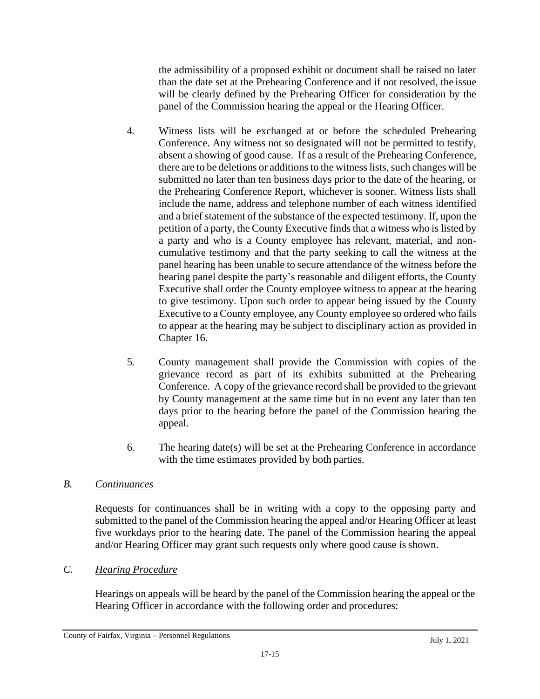the admissibility of a proposed exhibit or document shall be raised no later than the date set at the Prehearing Conference and if not resolved, the issue will be clearly defined by the Prehearing Officer for consideration by the panel of the Commission hearing the appeal or the Hearing Officer.

- 4. Witness lists will be exchanged at or before the scheduled Prehearing Conference. Any witness not so designated will not be permitted to testify, absent a showing of good cause. If as a result of the Prehearing Conference, there are to be deletions or additions to the witness lists, such changes will be submitted no later than ten business days prior to the date of the hearing, or the Prehearing Conference Report, whichever is sooner. Witness lists shall include the name, address and telephone number of each witness identified and a brief statement of the substance of the expected testimony. If, upon the petition of a party, the County Executive finds that a witness who is listed by a party and who is a County employee has relevant, material, and noncumulative testimony and that the party seeking to call the witness at the panel hearing has been unable to secure attendance of the witness before the hearing panel despite the party's reasonable and diligent efforts, the County Executive shall order the County employee witness to appear at the hearing to give testimony. Upon such order to appear being issued by the County Executive to a County employee, any County employee so ordered who fails to appear at the hearing may be subject to disciplinary action as provided in Chapter 16.
- 5. County management shall provide the Commission with copies of the grievance record as part of its exhibits submitted at the Prehearing Conference. A copy of the grievance record shall be provided to the grievant by County management at the same time but in no event any later than ten days prior to the hearing before the panel of the Commission hearing the appeal.
- 6. The hearing date(s) will be set at the Prehearing Conference in accordance with the time estimates provided by both parties.

# *B. Continuances*

Requests for continuances shall be in writing with a copy to the opposing party and submitted to the panel of the Commission hearing the appeal and/or Hearing Officer at least five workdays prior to the hearing date. The panel of the Commission hearing the appeal and/or Hearing Officer may grant such requests only where good cause is shown.

# *C. Hearing Procedure*

Hearings on appeals will be heard by the panel of the Commission hearing the appeal or the Hearing Officer in accordance with the following order and procedures: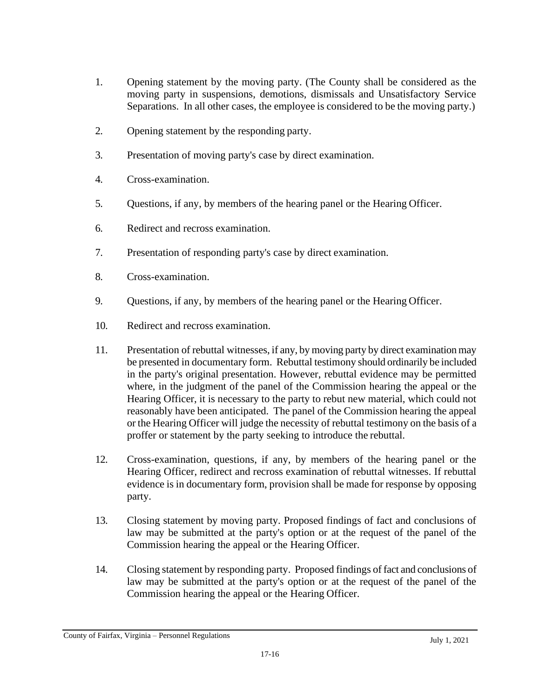- 1. Opening statement by the moving party. (The County shall be considered as the moving party in suspensions, demotions, dismissals and Unsatisfactory Service Separations. In all other cases, the employee is considered to be the moving party.)
- 2. Opening statement by the responding party.
- 3. Presentation of moving party's case by direct examination.
- 4. Cross-examination.
- 5. Questions, if any, by members of the hearing panel or the Hearing Officer.
- 6. Redirect and recross examination.
- 7. Presentation of responding party's case by direct examination.
- 8. Cross-examination.
- 9. Questions, if any, by members of the hearing panel or the Hearing Officer.
- 10. Redirect and recross examination.
- 11. Presentation of rebuttal witnesses, if any, by moving party by direct examination may be presented in documentary form. Rebuttal testimony should ordinarily be included in the party's original presentation. However, rebuttal evidence may be permitted where, in the judgment of the panel of the Commission hearing the appeal or the Hearing Officer, it is necessary to the party to rebut new material, which could not reasonably have been anticipated. The panel of the Commission hearing the appeal or the Hearing Officer will judge the necessity of rebuttal testimony on the basis of a proffer or statement by the party seeking to introduce the rebuttal.
- 12. Cross-examination, questions, if any, by members of the hearing panel or the Hearing Officer, redirect and recross examination of rebuttal witnesses. If rebuttal evidence is in documentary form, provision shall be made for response by opposing party.
- 13. Closing statement by moving party. Proposed findings of fact and conclusions of law may be submitted at the party's option or at the request of the panel of the Commission hearing the appeal or the Hearing Officer.
- 14. Closing statement by responding party. Proposed findings of fact and conclusions of law may be submitted at the party's option or at the request of the panel of the Commission hearing the appeal or the Hearing Officer.

County of Fairfax, Virginia – Personnel Regulations